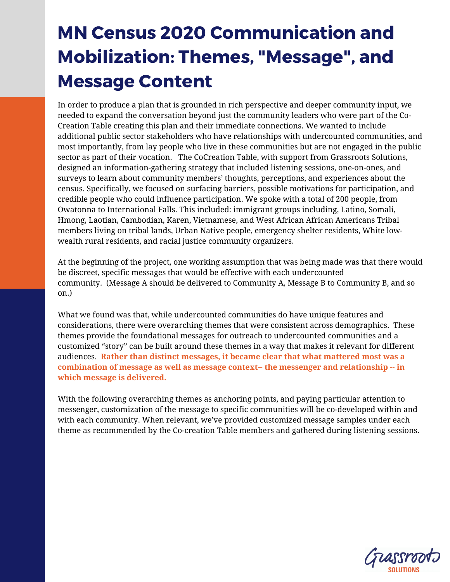## MN Census 2020 Communication and Mobilization: Themes, "Message" , and Message Content

In order to produce a plan that is grounded in rich perspective and deeper community input, we needed to expand the conversation beyond just the community leaders who were part of the Co-Creation Table creating this plan and their immediate connections. We wanted to include additional public sector stakeholders who have relationships with undercounted communities, and most importantly, from lay people who live in these communities but are not engaged in the public sector as part of their vocation. The CoCreation Table, with support from Grassroots Solutions, designed an information-gathering strategy that included listening sessions, one-on-ones, and surveys to learn about community members' thoughts, perceptions, and experiences about the census. Specifically, we focused on surfacing barriers, possible motivations for participation, and credible people who could influence participation. We spoke with a total of 200 people, from Owatonna to International Falls. This included: immigrant groups including, Latino, Somali, Hmong, Laotian, Cambodian, Karen, Vietnamese, and West African African Americans Tribal members living on tribal lands, Urban Native people, emergency shelter residents, White lowwealth rural residents, and racial justice community organizers.

At the beginning of the project, one working assumption that was being made was that there would be discreet, specific messages that would be effective with each undercounted community. (Message A should be delivered to Community A, Message B to Community B, and so on.)

What we found was that, while undercounted communities do have unique features and considerations, there were overarching themes that were consistent across demographics. These themes provide the foundational messages for outreach to undercounted communities and a customized "story" can be built around these themes in a way that makes it relevant for different audiences. **Rather than distinct messages, it became clear that what mattered most was a combination of message as well as message context-- the messenger and relationship -- in which message is delivered.** 

With the following overarching themes as anchoring points, and paying particular attention to messenger, customization of the message to specific communities will be co-developed within and with each community. When relevant, we've provided customized message samples under each theme as recommended by the Co-creation Table members and gathered during listening sessions.

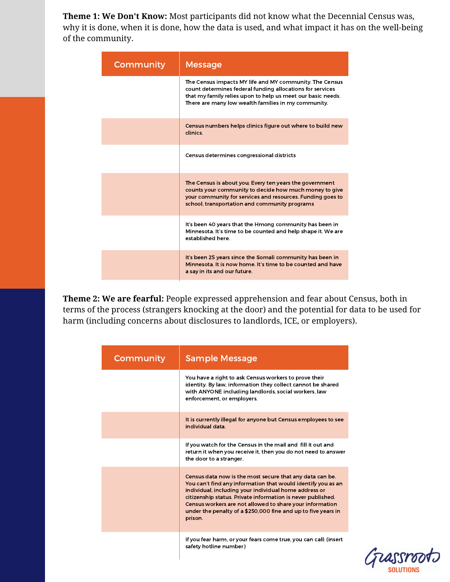**Theme 1: We Don't Know:** Most participants did not know what the Decennial Census was, why it is done, when it is done, how the data is used, and what impact it has on the well-being of the community.

| Community | <b>Message</b>                                                                                                                                                                                                                             |
|-----------|--------------------------------------------------------------------------------------------------------------------------------------------------------------------------------------------------------------------------------------------|
|           | The Census impacts MY life and MY community. The Census<br>count determines federal funding allocations for services<br>that my family relies upon to help us meet our basic needs.<br>There are many low wealth families in my community. |
|           | Census numbers helps clinics figure out where to build new<br>clinics.                                                                                                                                                                     |
|           | Census determines congressional districts                                                                                                                                                                                                  |
|           | The Census is about you; Every ten years the government<br>counts your community to decide how much money to give<br>your community for services and resources. Funding goes to<br>school, transportation and community programs           |
|           | It's been 40 years that the Hmong community has been in<br>Minnesota. It's time to be counted and help shape it. We are<br>established here.                                                                                               |
|           | It's been 25 years since the Somali community has been in<br>Minnesota, It is now home. It's time to be counted and have<br>a say in its and our future.                                                                                   |

**Theme 2: We are fearful:** People expressed apprehension and fear about Census, both in terms of the process (strangers knocking at the door) and the potential for data to be used for harm (including concerns about disclosures to landlords, ICE, or employers).

| Community | <b>Sample Message</b>                                                                                                                                                                                                                                                                                                                                                                    |
|-----------|------------------------------------------------------------------------------------------------------------------------------------------------------------------------------------------------------------------------------------------------------------------------------------------------------------------------------------------------------------------------------------------|
|           | You have a right to ask Census workers to prove their<br>identity. By law, information they collect cannot be shared<br>with ANYONE including landlords, social workers, law<br>enforcement, or employers.                                                                                                                                                                               |
|           | It is currently illegal for anyone but Census employees to see<br>individual data.                                                                                                                                                                                                                                                                                                       |
|           | If you watch for the Census in the mail and fill it out and<br>return it when you receive it, then you do not need to answer<br>the door to a stranger.                                                                                                                                                                                                                                  |
|           | Census data now is the most secure that any data can be.<br>You can't find any information that would identify you as an<br>individual, including your individual home address or<br>citizenship status. Private information is never published.<br>Census workers are not allowed to share your information<br>under the penalty of a \$250,000 fine and up to five years in<br>prison. |
|           | If you fear harm, or your fears come true, you can call: (insert<br>safety hotline number)                                                                                                                                                                                                                                                                                               |

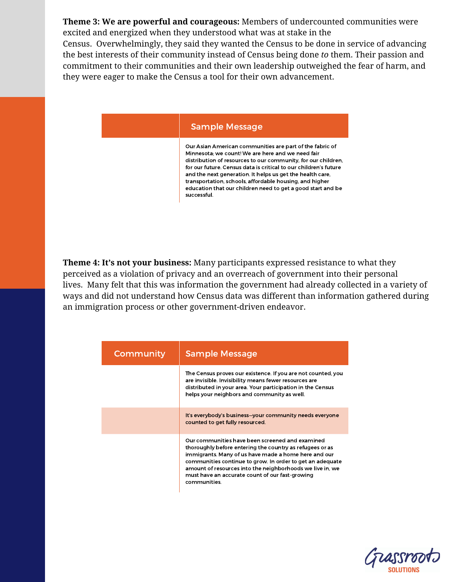**Theme 3: We are powerful and courageous:** Members of undercounted communities were excited and energized when they understood what was at stake in the

Census. Overwhelmingly, they said they wanted the Census to be done in service of advancing the best interests of their community instead of Census being done *to* them. Their passion and commitment to their communities and their own leadership outweighed the fear of harm, and they were eager to make the Census a tool for their own advancement.

## Sample Message Sample Message

Our Asian American communities are part of the fabric of Minnesota; we count! We are here and we need fair distribution of resources to our community, for our children, for our future. Census data is critical to our children's future and the next generation. It helps us get the health care, transportation, schools, affordable housing, and higher education that our children need to get a good start and be successful.

**Theme 4: It's not your business:** Many participants expressed resistance to what they perceived as a violation of privacy and an overreach of government into their personal lives. Many felt that this was information the government had already collected in a variety of ways and did not understand how Census data was different than information gathered during an immigration process or other government-driven endeavor.

| Community | <b>Sample Message</b>                                                                                                                                                                                                                                                                                                                                            |
|-----------|------------------------------------------------------------------------------------------------------------------------------------------------------------------------------------------------------------------------------------------------------------------------------------------------------------------------------------------------------------------|
|           | The Census proves our existence. If you are not counted, you<br>are invisible. Invisibility means fewer resources are<br>distributed in your area. Your participation in the Census<br>helps your neighbors and community as well.                                                                                                                               |
|           | It's everybody's business-your community needs everyone<br>counted to get fully resourced.                                                                                                                                                                                                                                                                       |
|           | Our communities have been screened and examined<br>thoroughly before entering the country as refugees or as<br>immigrants. Many of us have made a home here and our<br>communities continue to grow. In order to get an adequate<br>amount of resources into the neighborhoods we live in, we<br>must have an accurate count of our fast-growing<br>communities. |

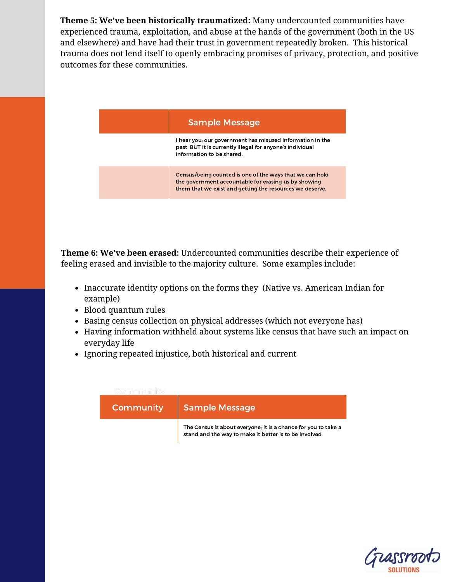**Theme 5: We've been historically traumatized:** Many undercounted communities have experienced trauma, exploitation, and abuse at the hands of the government (both in the US and elsewhere) and have had their trust in government repeatedly broken. This historical trauma does not lend itself to openly embracing promises of privacy, protection, and positive outcomes for these communities.

| <b>Sample Message</b>                                                                                                                                                        |
|------------------------------------------------------------------------------------------------------------------------------------------------------------------------------|
| I hear you; our government has misused information in the<br>past. BUT it is currently illegal for anyone's individual<br>information to be shared.                          |
| Census/being counted is one of the ways that we can hold<br>the government accountable for erasing us by showing<br>them that we exist and getting the resources we deserve. |

**Theme 6: We've been erased:** Undercounted communities describe their experience of feeling erased and invisible to the majority culture. Some examples include:

- Inaccurate identity options on the forms they (Native vs. American Indian for example)
- Blood quantum rules
- Basing census collection on physical addresses (which not everyone has)
- Having information withheld about systems like census that have such an impact on everyday life
- Ignoring repeated injustice, both historical and current



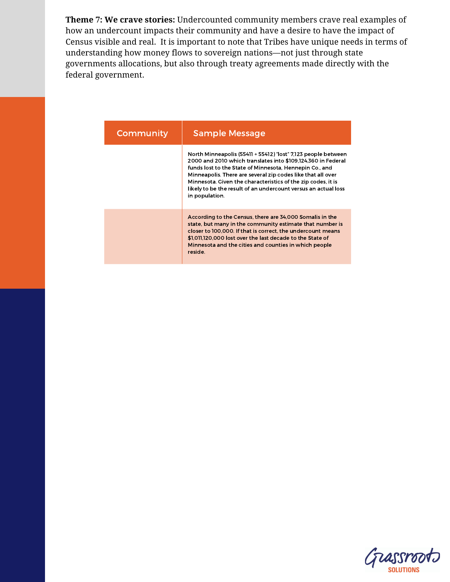**Theme 7: We crave stories:** Undercounted community members crave real examples of how an undercount impacts their community and have a desire to have the impact of Census visible and real. It is important to note that Tribes have unique needs in terms of understanding how money flows to sovereign nations—not just through state governments allocations, but also through treaty agreements made directly with the federal government.

| Community | <b>Sample Message</b>                                                                                                                                                                                                                                                                                                                                                                                       |
|-----------|-------------------------------------------------------------------------------------------------------------------------------------------------------------------------------------------------------------------------------------------------------------------------------------------------------------------------------------------------------------------------------------------------------------|
|           | North Minneapolis (55411 + 55412) "lost" 7,123 people between<br>2000 and 2010 which translates into \$109,124,360 in Federal<br>funds lost to the State of Minnesota, Hennepin Co., and<br>Minneapolis. There are several zip codes like that all over<br>Minnesota. Given the characteristics of the zip codes, it is<br>likely to be the result of an undercount versus an actual loss<br>in population. |
|           | According to the Census, there are 34,000 Somalis in the<br>state, but many in the community estimate that number is<br>closer to 100,000. If that is correct, the undercount means<br>\$1,011,120,000 lost over the last decade to the State of<br>Minnesota and the cities and counties in which people<br>reside.                                                                                        |

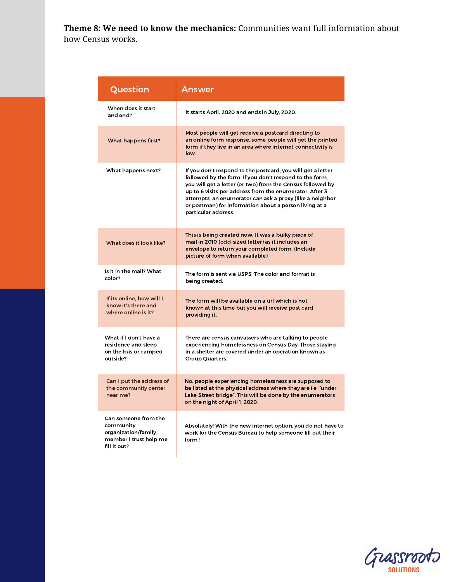**Theme 8: We need to know the mechanics:** Communities want full information about how Census works.

| Question                                                                                           | Answer                                                                                                                                                                                                                                                                                                                                                                                       |
|----------------------------------------------------------------------------------------------------|----------------------------------------------------------------------------------------------------------------------------------------------------------------------------------------------------------------------------------------------------------------------------------------------------------------------------------------------------------------------------------------------|
| When does it start<br>and end?                                                                     | It starts April, 2020 and ends in July, 2020.                                                                                                                                                                                                                                                                                                                                                |
| What happens first?                                                                                | Most people will get receive a postcard directing to<br>an online form response, some people will get the printed<br>form if they live in an area where internet connectivity is<br>low.                                                                                                                                                                                                     |
| What happens next?                                                                                 | If you don't respond to the postcard, you will get a letter<br>followed by the form. If you don't respond to the form,<br>you will get a letter (or two) from the Census followed by<br>up to 6 visits per address from the enumerator. After 3<br>attempts, an enumerator can ask a proxy (like a neighbor<br>or postman) for information about a person living at a<br>particular address. |
| What does it look like?                                                                            | This is being created now. It was a bulky piece of<br>mail in 2010 (odd-sized letter) as it includes an<br>envelope to return your completed form. (Include<br>picture of form when available)                                                                                                                                                                                               |
| Is it in the mail? What<br>color?                                                                  | The form is sent via USPS. The color and format is<br>being created.                                                                                                                                                                                                                                                                                                                         |
| If its online, how will I<br>know it's there and<br>where online is it?                            | The form will be available on a url which is not<br>known at this time but you will receive post card<br>providing it.                                                                                                                                                                                                                                                                       |
| What if I don't have a<br>residence and sleep<br>on the bus or camped<br>outside?                  | There are census canvassers who are talking to people<br>experiencing homelessness on Census Day. Those staying<br>in a shelter are covered under an operation known as<br>Group Quarters.                                                                                                                                                                                                   |
| Can I put the address of<br>the community center<br>near me?                                       | No, people experiencing homelessness are supposed to<br>be listed at the physical address where they are i.e. "under<br>Lake Street bridge". This will be done by the enumerators<br>on the night of April 1, 2020.                                                                                                                                                                          |
| Can someone from the<br>community<br>organization/family<br>member I trust help me<br>fill it out? | Absolutely! With the new internet option, you do not have to<br>work for the Census Bureau to help someone fill out their<br>form.!                                                                                                                                                                                                                                                          |